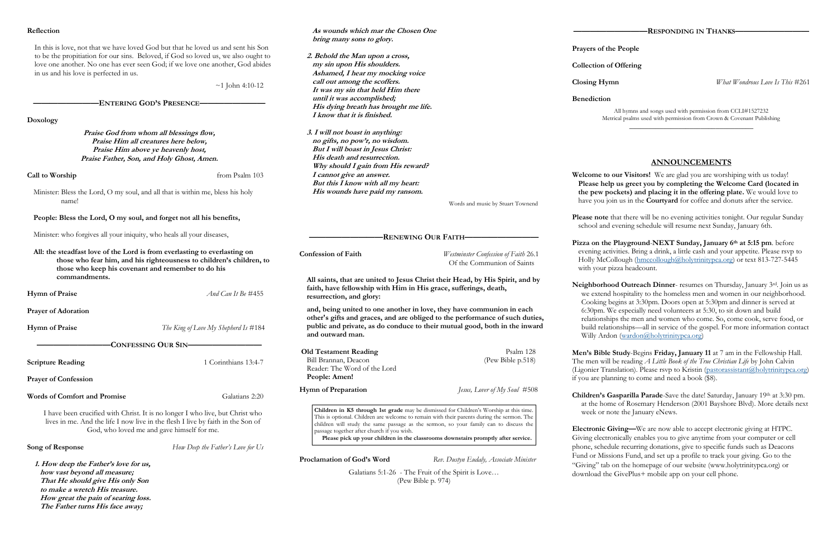### **Reflection**

In this is love, not that we have loved God but that he loved us and sent his Son to be the propitiation for our sins. Beloved, if God so loved us, we also ought to love one another. No one has ever seen God; if we love one another, God abides in us and his love is perfected in us.

 $~1$  John 4:10-12

**————————ENTERING GOD'S PRESENCE————————**

**Doxology**

**Praise God from whom all blessings flow, Praise Him all creatures here below, Praise Him above ye heavenly host, Praise Father, Son, and Holy Ghost, Amen.**

**Call to Worship** from Psalm 103

Minister: Bless the Lord, O my soul, and all that is within me, bless his holy name!

**People: Bless the Lord, O my soul, and forget not all his benefits,** 

Minister: who forgives all your iniquity, who heals all your diseases,

**All: the steadfast love of the Lord is from everlasting to everlasting on those who fear him, and his righteousness to children's children, to those who keep his covenant and remember to do his commandments.**

**Hymn of Praise** *And Can It Be* #455

**Prayer of Adoration** 

**Hymn of Praise** *The King of Love My Shepherd Is* #184

**—————————CONFESSING OUR SIN—————————**

**Scripture Reading** 1 Corinthians 13:4-7

**Prayer of Confession**

**Words of Comfort and Promise** Galatians 2:20

I have been crucified with Christ. It is no longer I who live, but Christ who lives in me. And the life I now live in the flesh I live by faith in the Son of God, who loved me and gave himself for me.

**Song of Response** *How Deep the Father's Love for Us*

**1. How deep the Father's love for us, how vast beyond all measure; That He should give His only Son to make a wretch His treasure. How great the pain of searing loss. The Father turns His face away;**

 **As wounds which mar the Chosen One bring many sons to glory.**

- **2. Behold the Man upon a cross, my sin upon His shoulders. Ashamed, I hear my mocking voice call out among the scoffers. It was my sin that held Him there until it was accomplished; His dying breath has brought me life. I know that it is finished.**
- **3. I will not boast in anything: no gifts, no pow'r, no wisdom. But I will boast in Jesus Christ: His death and resurrection. Why should I gain from His reward? I cannot give an answer. But this I know with all my heart: His wounds have paid my ransom.**

**Neighborhood Outreach Dinner**- resumes on Thursday, January 3rd. Join us as we extend hospitality to the homeless men and women in our neighborhood. Cooking begins at 3:30pm. Doors open at 5:30pm and dinner is served at 6:30pm. We especially need volunteers at 5:30, to sit down and build relationships the men and women who come. So, come cook, serve food, or build relationships—all in service of the gospel. For more information contact Willy Ardon ([wardon@holytrinitypca.org\)](mailto:wardon@holytrinitypca.org)

Words and music by Stuart Townend

**—————————RENEWING OUR FAITH—————————**

**Confession of Faith** *Westminster Confession of Faith* 26.1 Of the Communion of Saints

**All saints, that are united to Jesus Christ their Head, by His Spirit, and by faith, have fellowship with Him in His grace, sufferings, death, resurrection, and glory:** 

**and, being united to one another in love, they have communion in each other's gifts and graces, and are obliged to the performance of such duties, public and private, as do conduce to their mutual good, both in the inward and outward man.**

> **Children's Gasparilla Parade**-Save the date! Saturday, January 19th at 3:30 pm. at the home of Rosemary Henderson (2001 Bayshore Blvd). More details next week or note the January eNews.

| <b>Old Testament Reading</b> | Psalm 128                      |
|------------------------------|--------------------------------|
| Bill Brannan, Deacon         | (Pew Bible p.518)              |
| Reader: The Word of the Lord |                                |
| People: Amen!                |                                |
| Hymn of Preparation          | Jesus, Lover of My Soul $#508$ |

**Proclamation of God's Word** *Rev. Dustyn Eudaly, Associate Minister*

Galatians 5:1-26 - The Fruit of the Spirit is Love… (Pew Bible p. 974)

**Children in K5 through 1st grade** may be dismissed for Children's Worship at this time. This is optional. Children are welcome to remain with their parents during the sermon. The children will study the same passage as the sermon, so your family can to discuss the passage together after church if you wish. **Please pick up your children in the classrooms downstairs promptly after service.**

**Prayers of the People**

**Collection of Offering**

**Closing Hymn** *What Wondrous Love Is This* #261

**Benediction**

All hymns and songs used with permission from CCLI#1527232 Metrical psalms used with permission from Crown & Covenant Publishing

\_\_\_\_\_\_\_\_\_\_\_\_\_\_\_\_\_\_\_\_\_\_\_\_\_\_\_\_\_\_\_\_\_

## **ANNOUNCEMENTS**

**Welcome to our Visitors!** We are glad you are worshiping with us today! **Please help us greet you by completing the Welcome Card (located in the pew pockets) and placing it in the offering plate.** We would love to have you join us in the **Courtyard** for coffee and donuts after the service.

**Please note** that there will be no evening activities tonight. Our regular Sunday school and evening schedule will resume next Sunday, January 6th.

**Pizza on the Playground**-**NEXT Sunday, January 6th at 5:15 pm**. before evening activities. Bring a drink, a little cash and your appetite. Please rsvp to Holly McCollough ([hmccollough@holytrinitypca.org\)](mailto:hmccollough@holytrinitypca.org) or text 813-727-5445 with your pizza headcount.

**Men's Bible Study**-Begins **Friday, January 11** at 7 am in the Fellowship Hall. The men will be reading *A Little Book of the True Christian Life* by John Calvin (Ligonier Translation). Please rsvp to Kristin ([pastorassistant@holytrinitypca.org\)](mailto:pastorassistant@holytrinitypca.org) if you are planning to come and need a book (\$8).

**Electronic Giving—**We are now able to accept electronic giving at HTPC. Giving electronically enables you to give anytime from your computer or cell phone, schedule recurring donations, give to specific funds such as Deacons Fund or Missions Fund, and set up a profile to track your giving. Go to the download the GivePlus+ mobile app on your cell phone.

"Giving" tab on the homepage of our website (www.holytrinitypca.org) or